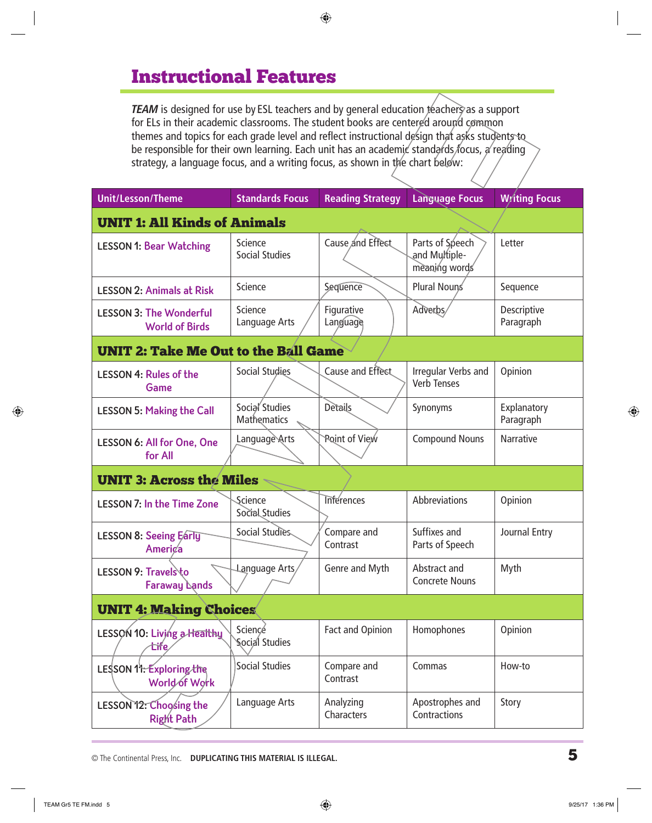# Instructional Features

*TEAM* is designed for use by ESL teachers and by general education teachers as a support for ELs in their academic classrooms. The student books are centered around common themes and topics for each grade level and reflect instructional design that asks students to be responsible for their own learning. Each unit has an academic standards focus, a reading strategy, a language focus, and a writing focus, as shown in the chart below:

| <b>Unit/Lesson/Theme</b>                                | <b>Standards Focus</b>           | <b>Reading Strategy</b> | <b>Language Focus</b>                             | <b>Writing Focus</b>     |  |  |
|---------------------------------------------------------|----------------------------------|-------------------------|---------------------------------------------------|--------------------------|--|--|
| <b>UNIT 1: All Kinds of Animals</b>                     |                                  |                         |                                                   |                          |  |  |
| <b>LESSON 1: Bear Watching</b>                          | Science<br><b>Social Studies</b> | Cause and Effect        | Parts of Speech<br>and Multiple-<br>meaning words | Letter                   |  |  |
| <b>LESSON 2: Animals at Risk</b>                        | Science                          | Sequence                | Plural Nouns                                      | Sequence                 |  |  |
| <b>LESSON 3: The Wonderful</b><br><b>World of Birds</b> | Science<br>Language Arts         | Figurative<br>Language  | Adverbs/                                          | Descriptive<br>Paragraph |  |  |
| <b>UNIT 2: Take Me Out to the Ball Game</b>             |                                  |                         |                                                   |                          |  |  |
| <b>LESSON 4: Rules of the</b><br><b>Game</b>            | <b>Social Studies</b>            | Cause and Effect        | Irregular Verbs and<br><b>Verb Tenses</b>         | Opinion                  |  |  |
| <b>LESSON 5: Making the Call</b>                        | Social Studies<br>Mathematics    | Details                 | Synonyms                                          | Explanatory<br>Paragraph |  |  |
| <b>LESSON 6: All for One, One</b><br>for All            | Language Arts                    | Point of View           | <b>Compound Nouns</b>                             | <b>Narrative</b>         |  |  |
| <b>UNIT 3: Across the Miles</b>                         |                                  |                         |                                                   |                          |  |  |
| <b>LESSON 7: In the Time Zone</b>                       | Science<br>Social Studies        | <b>Inferences</b>       | Abbreviations                                     | Opinion                  |  |  |
| <b>LESSON 8: Seeing Early</b><br><b>America</b>         | Social Studies                   | Compare and<br>Contrast | Suffixes and<br>Parts of Speech                   | Journal Entry            |  |  |
| LESSON 9: Travelsto<br><b>Faraway Lands</b>             | Language Arts                    | Genre and Myth          | Abstract and<br><b>Concrete Nouns</b>             | Myth                     |  |  |
| <b>UNIT 4: Making Choices</b>                           |                                  |                         |                                                   |                          |  |  |
| LESSON 10: Living a Healthy<br>tife                     | Science<br>Social Studies        | Fact and Opinion        | Homophones                                        | Opinion                  |  |  |
| LESSON 11: Exploring the<br>World of Work               | <b>Social Studies</b>            | Compare and<br>Contrast | Commas                                            | How-to                   |  |  |
| LESSON 12: Choosing the<br>Right Path                   | Language Arts                    | Analyzing<br>Characters | Apostrophes and<br>Contractions                   | Story                    |  |  |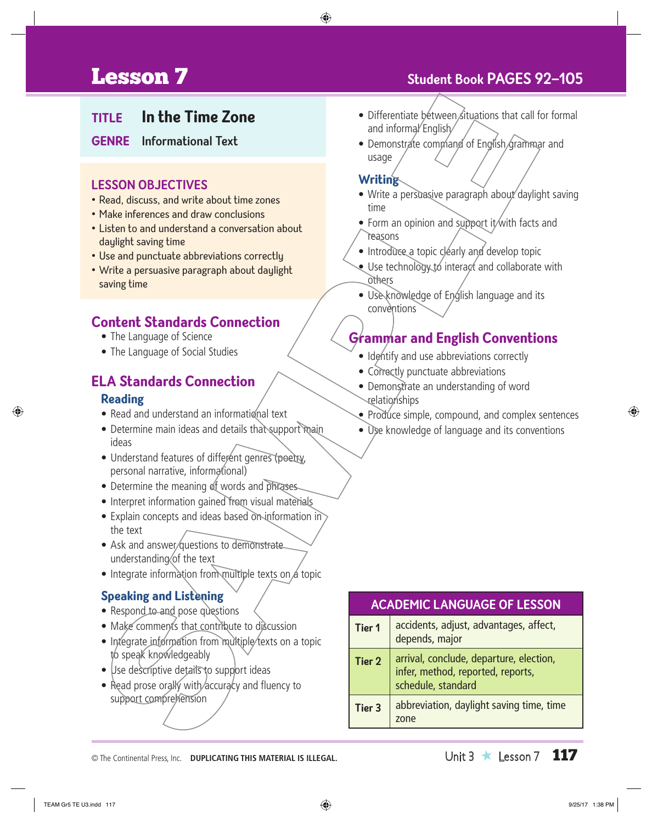# **Lesson 7** Student Book PAGES 92-105

## **TITLE In the Time Zone**

**GENRE Informational Text**

#### **LESSON OBJECTIVES**

- Read, discuss, and write about time zones
- Make inferences and draw conclusions
- Listen to and understand a conversation about daylight saving time
- Use and punctuate abbreviations correctly
- Write a persuasive paragraph about daylight saving time

## **Content Standards Connection**

- The Language of Science
- The Language of Social Studies

### **ELA Standards Connection**

#### **Reading**

- Read and understand an informational text
- Determine main ideas and details that support main ideas
- Understand features of different genres (poetry, personal narrative, informational)
- Determine the meaning of words and phrases
- Interpret information gained from visual materials
- Explain concepts and ideas based on information in the text
- Ask and answer questions to demonstrate understanding of the text
- Integrate information from multiple texts on a topic

#### **Speaking and Listening**

- Respond to and pose questions
- Make comments that contribute to discussion
- Integrate information from multiple/texts on a topic to speak knowledgeably
- Use descriptive details to support ideas
- Read prose orally with/accuracy and fluency to support comprehension
- Differentiate between situations that call for formal and informal English
- Demonstrate command of English grammar and usage

#### **Writing**

- Write a persuasive paragraph about daylight saving time
- Form an opinion and support it with facts and **reasons**
- Introduce a topic clearly and develop topic
- $\bullet$  Use technology to interact and collaborate with others
	- Use knowledge of English language and its conventions

## **Grammar and English Conventions**

- Identify and use abbreviations correctly
- Correctly punctuate abbreviations
- Demonstrate an understanding of word relationships
- Produce simple, compound, and complex sentences
- Use knowledge of language and its conventions

| <b>ACADEMIC LANGUAGE OF LESSON</b> |                                                                                                    |  |
|------------------------------------|----------------------------------------------------------------------------------------------------|--|
| <b>Tier 1</b>                      | accidents, adjust, advantages, affect,<br>depends, major                                           |  |
| <b>Tier 2</b>                      | arrival, conclude, departure, election,<br>infer, method, reported, reports,<br>schedule, standard |  |
| Tier 3                             | abbreviation, daylight saving time, time<br>zone                                                   |  |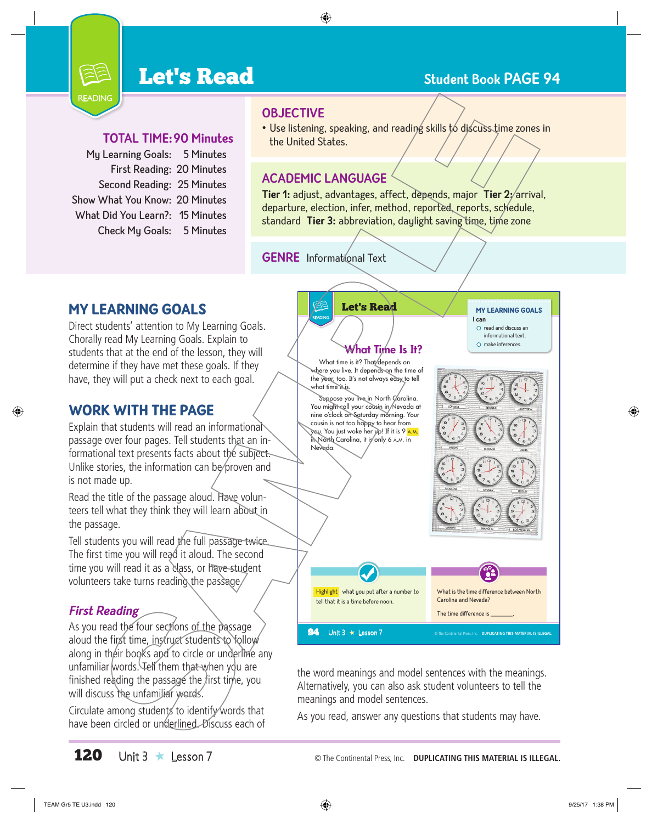# **Let's Read Student Book PAGE 94**

### **TOTAL TIME:90 Minutes**

My Learning Goals: 5 Minutes First Reading: 20 Minutes Second Reading: 25 Minutes Show What You Know: 20 Minutes What Did You Learn?: 15 Minutes Check My Goals: 5 Minutes

READING

- **OBJECTIVE**
- Use listening, speaking, and reading skills to discuss time zones in the United States.

#### **ACADEMIC LANGUAGE**

**Tier 1:** adjust, advantages, affect, depends, major **Tier 2:** arrival, departure, election, infer, method, reported, reports, schedule, standard **Tier 3:** abbreviation, daylight saving time, time zone

### **GENRE** Informational Text

## MY LEARNING GOALS

Direct students' attention to My Learning Goals. Chorally read My Learning Goals. Explain to students that at the end of the lesson, they will determine if they have met these goals. If they have, they will put a check next to each goal.

## WORK WITH THE PAGE

Explain that students will read an informational passage over four pages. Tell students that an informational text presents facts about the subject. Unlike stories, the information can be proven and is not made up.

Read the title of the passage aloud. Have volunteers tell what they think they will learn about in the passage.

Tell students you will read the full passage twice. The first time you will read it aloud. The second time you will read it as a class, or have student volunteers take turns reading the passage.

## **First Reading**

As you read the four sections of the passage aloud the first time, instruct students to follow along in their books and to circle or underline any unfamiliar words. Tell them that when you are finished reading the passage the first time, you will discuss the unfamiliar words.

Circulate among students to identify words that have been circled or underlined. Discuss each of



the word meanings and model sentences with the meanings. Alternatively, you can also ask student volunteers to tell the meanings and model sentences.

As you read, answer any questions that students may have.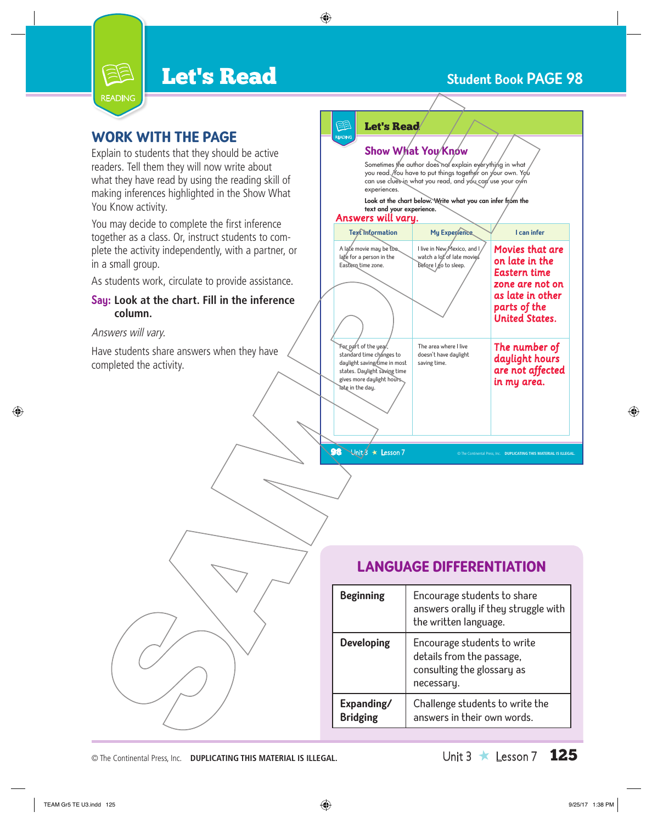# **Let's Read Communist Communist Except** Student Book PAGE 98



## WORK WITH THE PAGE

Explain to students that they should be active readers. Tell them they will now write about what they have read by using the reading skill of making inferences highlighted in the Show What You Know activity.

You may decide to complete the first inference together as a class. Or, instruct students to complete the activity independently, with a partner, or in a small group.

As students work, circulate to provide assistance.

#### **Say: Look at the chart. Fill in the inference column.**

#### Answers will vary.

Have students share answers when they have completed the activity.

## Let's Read

READING

#### **Show What You Know**

Sometimes the author does not explain everything in what you read. You have to put things together on your own. You can use clues in what you read, and you can use your own experiences.

Look at the chart below. Write what you can infer from the text and your experience.

#### *Answers will vary.*

| A late movie may be too.<br>late for a person in the<br>Eastern time zone.                                                                                          | I live in New Mexico, and I<br>watch a lot of late movies<br>before I go to sleep. | <b>Movies that are</b><br>on late in the<br>Eastern time<br>zone are not on<br>as late in other<br>parts of the<br><b>United States.</b> |
|---------------------------------------------------------------------------------------------------------------------------------------------------------------------|------------------------------------------------------------------------------------|------------------------------------------------------------------------------------------------------------------------------------------|
| For part of the year,<br>standard time changes to<br>daylight saving time in most<br>states. Daylight saving time<br>gives more daylight hours.<br>Tate in the day. | The area where I live<br>doesn't have daylight<br>saving time.                     | The number of<br>daylight hours<br>are not affected<br>in my area.                                                                       |

## LANGUAGE DIFFERENTIATION

TEAM Gr $\overline{S}$ 

| <b>Beginning</b>              | Encourage students to share<br>answers orally if they struggle with<br>the written language.         |
|-------------------------------|------------------------------------------------------------------------------------------------------|
| <b>Developing</b>             | Encourage students to write<br>details from the passage,<br>consulting the glossary as<br>necessary. |
| Expanding/<br><b>Bridging</b> | Challenge students to write the<br>answers in their own words.                                       |